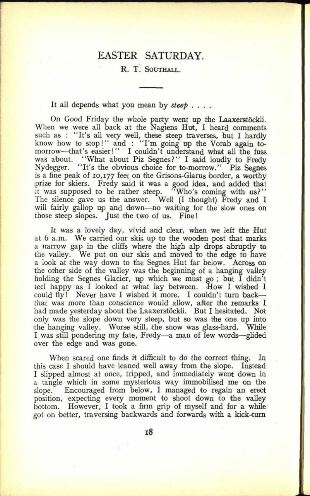## EASTER SATURDAY.

## **R, T. SOUTHALL.**

It all depends what you mean by *steep* ....

On Good Friday the whole party went up the Laaxerstöckli. When we were all back at the Nagiens Hut, I heard comments such as : "It's all very well, these steep traverses, but I hardly know how to stop!" and : "I'm going up the Vorab again tomorrow-that's easier!" I couldn't understand what all the fuss was about. "What about Piz Segnes?" I said loudly to Fredy Nydegger. "It's the obvious choice for to-morrow." Piz Segnes "It's the obvious choice for to-morrow." Piz Segnes is a fine peak of 10,177 feet on the Grisons-Glarus border, a worthy prize for skiers. Fredy said it was a good idea, and added that it was supposed to be rather steep. "Who's coming with us?" The silence gave us the answer. Well (I thought) Fredy and I will fairly gallop up and down-no waiting for the slow ones on those steep slopes. Just the two of us. Fine!

It was a lovely day, vivid and clear, when we left the Hut at 6 a.m. We carried our skis up to the wooden post that marks <sup>a</sup>narrow gap in the cliffs where the high alp drops abruptly to the valley. We put on our skis and moved to the edge to have <sup>a</sup>look at the way down to the Segnes Hut far below. Across on the other side of the valley was the beginning of a hanging valley holding the Segnes Glacier, up which we must go ; but I didn't leel happy as I looked at what lay between. How I wished I could fly! Never have I wished it more. I couldn't turn backthat was more than conscience would allow, after the remarks I had made yesterday about the Laaxerstöckli. But I hesitated. Not only was the slope down very steep, but so was the one up into the hanging valley. Worse still, the snow was glass-hard. While I was still pondering my fate, Fredy—a man of few words—glided over the edge and was gone.

When scared one finds it difficult to do the correct thing. In this case I should have leaned well away from the slope. Instead I slipped almost at once, tripped, and immediately went down in <sup>a</sup>tangle which in some mysterious way immobilised me on the slope. Encouraged from below, I managed to regain an erect position, expecting every moment to shoot down to the valley bottom. However, I took a firm grip of myself and for a while got on better, traversing backwards and forwards with a kick-turn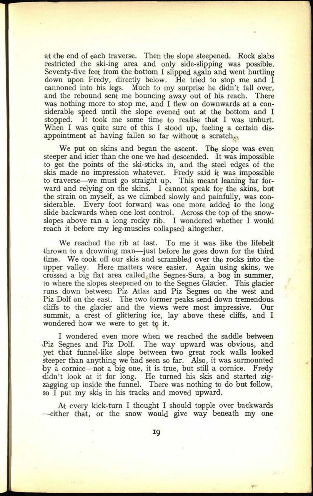at the end of each traverse. Then the slope steepened. Rock slabs restricted the ski-ing area and only side-slipping was possible. Seventy-five feet from the bottom I slipped again and went hurtling down upon Fredy, directly below. He tried to stop me and I cannoned into his legs. Much to my surprise he didn't fall over, and the rebound sent me bouncing away out of his reach. There was nothing more to stop me, and I flew on downwards at a considerable speed until the slope evened out at the bottom and I stopped. It took me some time to realise that I was unhurt. When I was quite sure of this I stood up, feeling a certain disappointment at having fallen so far without a scratch...

**29. 0179**

We put on skins and began the ascent. The slope was even steeper and icier than the one we had descended. It was impossible to get the points of the ski-sticks in, and the steel edges of the skis made no impression whatever. Fredy said it was impossible to traverse—we must go straight up. This meant leaning far forward and relying on the skins. I cannot speak for the skins, but the strain on myself, as we climbed slowly and painfully, was considerable. Every foot forward was one more added to the long slide backwards when one lost control. Across the top of the snowslopes above ran a long rocky rib. I wondered whether I would reach it before my leg-muscles collapsed altogether.

We reached the rib at last. To me it was like the lifebelt thrown to a drowning man—just before he goes down for the third time. We took off our skis and scrambled over the rocks into the upper valley. Here matters were easier. Again using skins, we crossed a big flat area called, the Segnes-Sura, a bog in summer, to where the slopes steepened on to the Segnes Glacier. This glacier runs down between Piz Atlas and Piz Segnes on the west and Piz Dolf on the east. The two former peaks send down tremendous cliffs to the glacier and the views were most impressive. Our summit, a crest of glittering ice, lay above these cliffs, and I wondered how we were to get to it.

I wondered even more when we reached the saddle between Piz Segnes and Piz Dolf. The way upward was obvious, and yet that funnel-like slope between two great rock walls looked steeper than anything we had seen so far. Also, it was surmounted by a cornice-not a big one, it is true, but still a cornice. Fredy 'didn't look at it for long. He turned his skis and started zigzagging up inside the funnel. There was nothing to do but follow, so I put my skis in his tracks and moved upward.

At every kick-turn I thought I should topple over backwards -either that, or the snow would give way beneath my one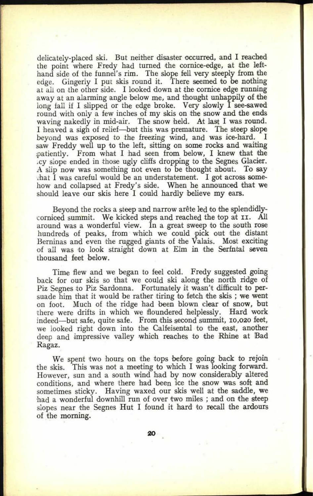delicately-placed ski. But neither disaster occurred, and I reached the point where Fredy had turned the cornice-edge, at the lefthand side of the funnel's rim. The slope fell very steeply from the edge. Gingerly I put skis round it. There seemed to be nothing at all on the other side. I looked down at the cornice edge running away at an alarming angle below me, and thought unhappily of the long fall if I slipped or the edge broke. Very slowly I see-sawed round with only a few inches of my skis on the snow and the ends waving nakedly in mid-air. The snow held. At last I was round. I heaved a sigh of relief—but this was premature. The steep slope beyond was exposed to the freezing wind, and was ice-hard. <sup>I</sup> saw Freddy well up to the left, sitting on some rocks and waiting ipatiently. From what I had seen from below, I knew that the acy slope ended in those ugly cliffs dropping to the Segnes Glacier. A slip now was something not even to be thought about. To say that I was careful would be an understatement. I got across somehow and collapsed at Fredy's side. When he announced that we should leave our skis here I could hardly believe my ears.

Beyond the rocks a steep and narrow arête led to the splendidlycorniced summit. We kicked steps and reached the top at II. All around was <sup>a</sup>wonderful view. In a great sweep to the south rose hundreds of peaks, from which we could pick out the distant Berninas and even the rugged giants of the Valais. Most exciting of all was to look straight down at Elm in the Serfntal seven thousand feet below.

Time flew and we began to feel cold. Fredy suggested going back for our skis so that we could ski along the north ridge of Piz Segnes to Piz Sardonna. Fortunately it wasn't difficult to persuade him that it would be rather tiring to fetch the skis ; we went on foot. Much of the ridge had been blown clear of snow, but there were drifts in which we floundered helplessly. Hard work indeed-but safe, quite safe. From this second summit, 10,020 feet, we looked right down into the Calfeisental to the east, another deep and impressive valley which reaches to the Rhine at Bad Ragaz.

We spent two hours on the tops before going back to rejoin the skis. This was not a meeting to which I was looking forward. However, sun and a south wind had by now considerably altered conditions, and where there had been ice the snow was soft and sometimes sticky. Having waxed our skis well at the saddle, we had a wonderful downhill run of over two miles ; and on the steep slopes near the Segnes Hut I found it hard to recall the ardours of the morning.